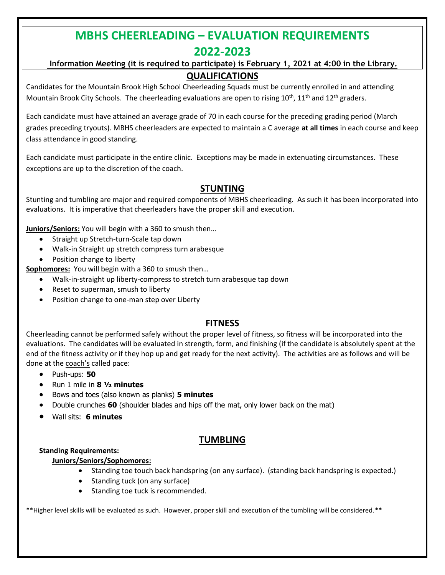## **MBHS CHEERLEADING – EVALUATION REQUIREMENTS 2022-2023**

#### **Information Meeting (it is required to participate) is February 1, 2021 at 4:00 in the Library. QUALIFICATIONS**

Candidates for the Mountain Brook High School Cheerleading Squads must be currently enrolled in and attending Mountain Brook City Schools. The cheerleading evaluations are open to rising  $10^{th}$ ,  $11^{th}$  and  $12^{th}$  graders.

Each candidate must have attained an average grade of 70 in each course for the preceding grading period (March grades preceding tryouts). MBHS cheerleaders are expected to maintain a C average **at all times** in each course and keep class attendance in good standing.

Each candidate must participate in the entire clinic. Exceptions may be made in extenuating circumstances. These exceptions are up to the discretion of the coach.

## **STUNTING**

Stunting and tumbling are major and required components of MBHS cheerleading. As such it has been incorporated into evaluations. It is imperative that cheerleaders have the proper skill and execution.

**Juniors/Seniors:** You will begin with a 360 to smush then…

- Straight up Stretch-turn-Scale tap down
- Walk-in Straight up stretch compress turn arabesque
- Position change to liberty

**Sophomores:** You will begin with a 360 to smush then…

- Walk-in-straight up liberty-compress to stretch turn arabesque tap down
- Reset to superman, smush to liberty
- Position change to one-man step over Liberty

## **FITNESS**

Cheerleading cannot be performed safely without the proper level of fitness, so fitness will be incorporated into the evaluations. The candidates will be evaluated in strength, form, and finishing (if the candidate is absolutely spent at the end of the fitness activity or if they hop up and get ready for the next activity). The activities are as follows and will be done at the coach's called pace:

- Push-ups: **50**
- Run 1 mile in **8 ½ minutes**
- Bows and toes (also known as planks) **5 minutes**
- Double crunches **60** (shoulder blades and hips off the mat, only lower back on the mat)
- Wall sits: **6 minutes**

### **TUMBLING**

#### **Standing Requirements:**

#### **Juniors/Seniors/Sophomores:**

- Standing toe touch back handspring (on any surface). (standing back handspring is expected.)
- Standing tuck (on any surface)
- Standing toe tuck is recommended.

\*\*Higher level skills will be evaluated as such. However, proper skill and execution of the tumbling will be considered.\*\*